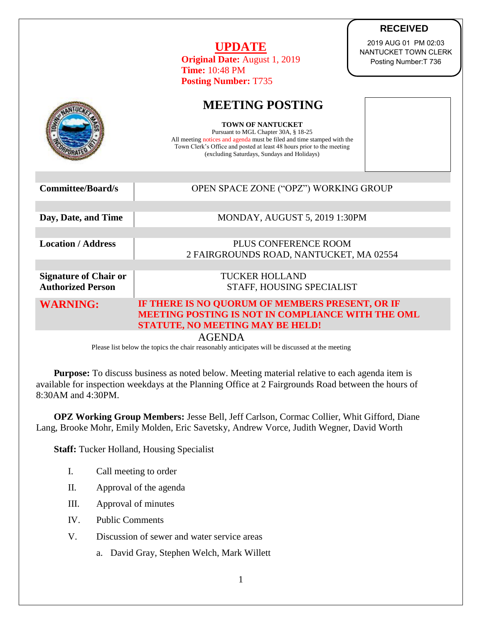|                              | <b>RECEIVED</b>                                                                                                                                                                                                                                                    |
|------------------------------|--------------------------------------------------------------------------------------------------------------------------------------------------------------------------------------------------------------------------------------------------------------------|
|                              | 2019 AUG 01 PM 02:03<br><b>UPDATE</b><br>NANTUCKET TOWN CLERK<br><b>Original Date: August 1, 2019</b><br>Posting Number: T 736<br><b>Time: 10:48 PM</b><br><b>Posting Number: T735</b>                                                                             |
|                              |                                                                                                                                                                                                                                                                    |
|                              | <b>MEETING POSTING</b>                                                                                                                                                                                                                                             |
|                              | <b>TOWN OF NANTUCKET</b><br>Pursuant to MGL Chapter 30A, § 18-25<br>All meeting notices and agenda must be filed and time stamped with the<br>Town Clerk's Office and posted at least 48 hours prior to the meeting<br>(excluding Saturdays, Sundays and Holidays) |
|                              |                                                                                                                                                                                                                                                                    |
| <b>Committee/Board/s</b>     | OPEN SPACE ZONE ("OPZ") WORKING GROUP                                                                                                                                                                                                                              |
|                              |                                                                                                                                                                                                                                                                    |
| Day, Date, and Time          | MONDAY, AUGUST 5, 2019 1:30PM                                                                                                                                                                                                                                      |
|                              |                                                                                                                                                                                                                                                                    |
| <b>Location / Address</b>    | PLUS CONFERENCE ROOM                                                                                                                                                                                                                                               |
|                              | 2 FAIRGROUNDS ROAD, NANTUCKET, MA 02554                                                                                                                                                                                                                            |
| <b>Signature of Chair or</b> | <b>TUCKER HOLLAND</b>                                                                                                                                                                                                                                              |
| <b>Authorized Person</b>     | STAFF, HOUSING SPECIALIST                                                                                                                                                                                                                                          |
| <b>WARNING:</b>              | IF THERE IS NO QUORUM OF MEMBERS PRESENT, OR IF                                                                                                                                                                                                                    |
|                              | MEETING POSTING IS NOT IN COMPLIANCE WITH THE OML<br>STATUTE, NO MEETING MAY BE HELD!                                                                                                                                                                              |

AGENDA

Please list below the topics the chair reasonably anticipates will be discussed at the meeting

**Purpose:** To discuss business as noted below. Meeting material relative to each agenda item is available for inspection weekdays at the Planning Office at 2 Fairgrounds Road between the hours of 8:30AM and 4:30PM.

**OPZ Working Group Members:** Jesse Bell, Jeff Carlson, Cormac Collier, Whit Gifford, Diane Lang, Brooke Mohr, Emily Molden, Eric Savetsky, Andrew Vorce, Judith Wegner, David Worth

**Staff:** Tucker Holland, Housing Specialist

- I. Call meeting to order
- II. Approval of the agenda
- III. Approval of minutes
- IV. Public Comments
- V. Discussion of sewer and water service areas
	- a. David Gray, Stephen Welch, Mark Willett